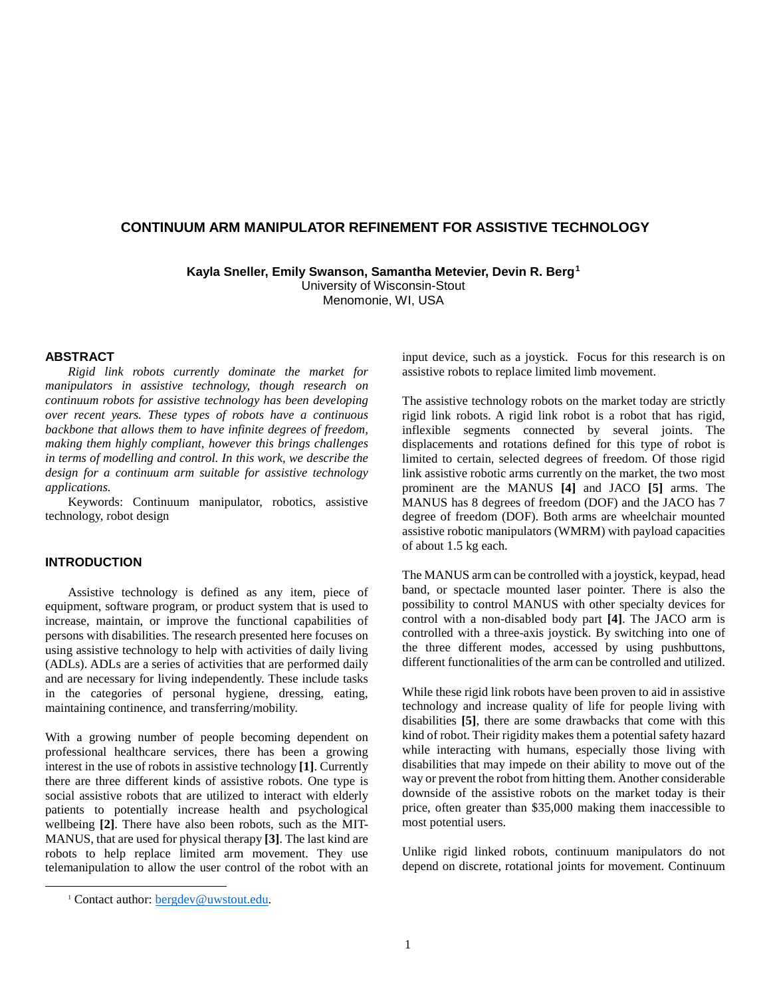# **CONTINUUM ARM MANIPULATOR REFINEMENT FOR ASSISTIVE TECHNOLOGY**

**Kayla Sneller, Emily Swanson, Samantha Metevier, Devin R. Berg[1](#page-0-0)**

University of Wisconsin-Stout Menomonie, WI, USA

#### **ABSTRACT**

*Rigid link robots currently dominate the market for manipulators in assistive technology, though research on continuum robots for assistive technology has been developing over recent years. These types of robots have a continuous backbone that allows them to have infinite degrees of freedom, making them highly compliant, however this brings challenges in terms of modelling and control. In this work, we describe the design for a continuum arm suitable for assistive technology applications.* 

Keywords: Continuum manipulator, robotics, assistive technology, robot design

### **INTRODUCTION**

Assistive technology is defined as any item, piece of equipment, software program, or product system that is used to increase, maintain, or improve the functional capabilities of persons with disabilities. The research presented here focuses on using assistive technology to help with activities of daily living (ADLs). ADLs are a series of activities that are performed daily and are necessary for living independently. These include tasks in the categories of personal hygiene, dressing, eating, maintaining continence, and transferring/mobility.

With a growing number of people becoming dependent on professional healthcare services, there has been a growing interest in the use of robots in assistive technology **[1]**. Currently there are three different kinds of assistive robots. One type is social assistive robots that are utilized to interact with elderly patients to potentially increase health and psychological wellbeing **[2]**. There have also been robots, such as the MIT-MANUS, that are used for physical therapy **[3]**. The last kind are robots to help replace limited arm movement. They use telemanipulation to allow the user control of the robot with an input device, such as a joystick. Focus for this research is on assistive robots to replace limited limb movement.

The assistive technology robots on the market today are strictly rigid link robots. A rigid link robot is a robot that has rigid, inflexible segments connected by several joints. The displacements and rotations defined for this type of robot is limited to certain, selected degrees of freedom. Of those rigid link assistive robotic arms currently on the market, the two most prominent are the MANUS **[4]** and JACO **[5]** arms. The MANUS has 8 degrees of freedom (DOF) and the JACO has 7 degree of freedom (DOF). Both arms are wheelchair mounted assistive robotic manipulators (WMRM) with payload capacities of about 1.5 kg each.

The MANUS arm can be controlled with a joystick, keypad, head band, or spectacle mounted laser pointer. There is also the possibility to control MANUS with other specialty devices for control with a non-disabled body part **[4]**. The JACO arm is controlled with a three-axis joystick. By switching into one of the three different modes, accessed by using pushbuttons, different functionalities of the arm can be controlled and utilized.

While these rigid link robots have been proven to aid in assistive technology and increase quality of life for people living with disabilities **[5]**, there are some drawbacks that come with this kind of robot. Their rigidity makes them a potential safety hazard while interacting with humans, especially those living with disabilities that may impede on their ability to move out of the way or prevent the robot from hitting them. Another considerable downside of the assistive robots on the market today is their price, often greater than \$35,000 making them inaccessible to most potential users.

Unlike rigid linked robots, continuum manipulators do not depend on discrete, rotational joints for movement. Continuum

<span id="page-0-0"></span><sup>&</sup>lt;sup>1</sup> Contact author: **bergdev@uwstout.edu.**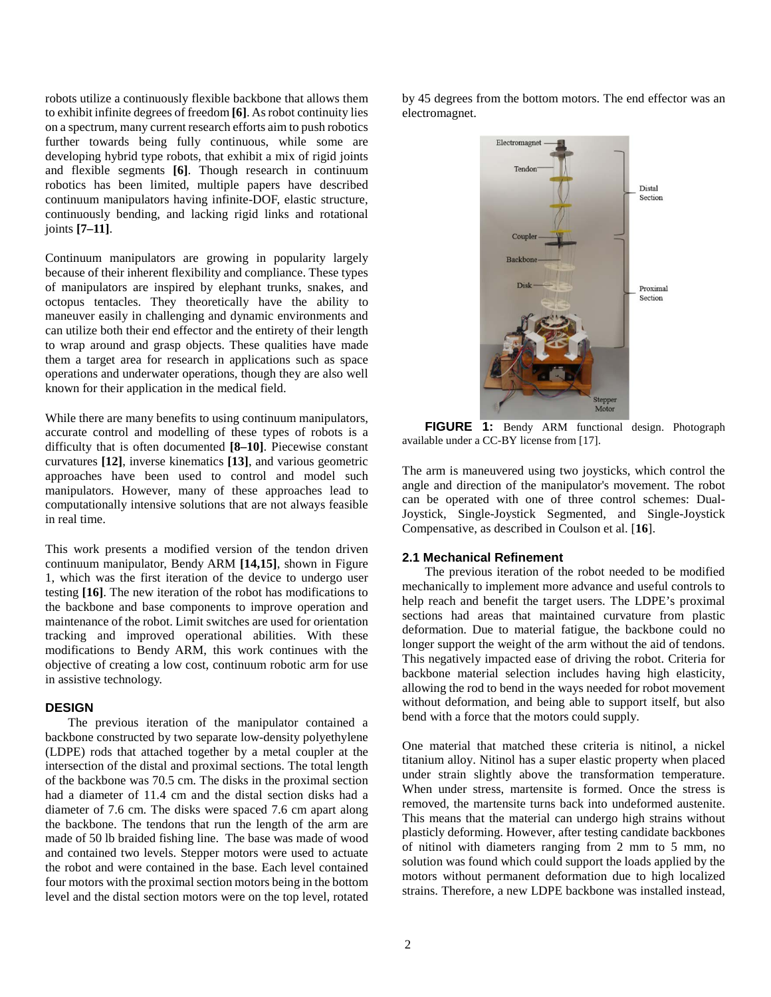robots utilize a continuously flexible backbone that allows them to exhibit infinite degrees of freedom **[6]**. As robot continuity lies on a spectrum, many current research efforts aim to push robotics further towards being fully continuous, while some are developing hybrid type robots, that exhibit a mix of rigid joints and flexible segments **[6]**. Though research in continuum robotics has been limited, multiple papers have described continuum manipulators having infinite-DOF, elastic structure, continuously bending, and lacking rigid links and rotational joints **[7–11]**.

Continuum manipulators are growing in popularity largely because of their inherent flexibility and compliance. These types of manipulators are inspired by elephant trunks, snakes, and octopus tentacles. They theoretically have the ability to maneuver easily in challenging and dynamic environments and can utilize both their end effector and the entirety of their length to wrap around and grasp objects. These qualities have made them a target area for research in applications such as space operations and underwater operations, though they are also well known for their application in the medical field.

While there are many benefits to using continuum manipulators, accurate control and modelling of these types of robots is a difficulty that is often documented **[8–10]**. Piecewise constant curvatures **[12]**, inverse kinematics **[13]**, and various geometric approaches have been used to control and model such manipulators. However, many of these approaches lead to computationally intensive solutions that are not always feasible in real time.

This work presents a modified version of the tendon driven continuum manipulator, Bendy ARM **[14,15]**, shown in Figure 1, which was the first iteration of the device to undergo user testing **[16]**. The new iteration of the robot has modifications to the backbone and base components to improve operation and maintenance of the robot. Limit switches are used for orientation tracking and improved operational abilities. With these modifications to Bendy ARM, this work continues with the objective of creating a low cost, continuum robotic arm for use in assistive technology.

#### **DESIGN**

The previous iteration of the manipulator contained a backbone constructed by two separate low-density polyethylene (LDPE) rods that attached together by a metal coupler at the intersection of the distal and proximal sections. The total length of the backbone was 70.5 cm. The disks in the proximal section had a diameter of 11.4 cm and the distal section disks had a diameter of 7.6 cm. The disks were spaced 7.6 cm apart along the backbone. The tendons that run the length of the arm are made of 50 lb braided fishing line. The base was made of wood and contained two levels. Stepper motors were used to actuate the robot and were contained in the base. Each level contained four motors with the proximal section motors being in the bottom level and the distal section motors were on the top level, rotated by 45 degrees from the bottom motors. The end effector was an electromagnet.



**FIGURE 1:** Bendy ARM functional design. Photograph available under a CC-BY license from [17].

The arm is maneuvered using two joysticks, which control the angle and direction of the manipulator's movement. The robot can be operated with one of three control schemes: Dual-Joystick, Single-Joystick Segmented, and Single-Joystick Compensative, as described in Coulson et al. [**16**].

### **2.1 Mechanical Refinement**

The previous iteration of the robot needed to be modified mechanically to implement more advance and useful controls to help reach and benefit the target users. The LDPE's proximal sections had areas that maintained curvature from plastic deformation. Due to material fatigue, the backbone could no longer support the weight of the arm without the aid of tendons. This negatively impacted ease of driving the robot. Criteria for backbone material selection includes having high elasticity, allowing the rod to bend in the ways needed for robot movement without deformation, and being able to support itself, but also bend with a force that the motors could supply.

One material that matched these criteria is nitinol, a nickel titanium alloy. Nitinol has a super elastic property when placed under strain slightly above the transformation temperature. When under stress, martensite is formed. Once the stress is removed, the martensite turns back into undeformed austenite. This means that the material can undergo high strains without plasticly deforming. However, after testing candidate backbones of nitinol with diameters ranging from 2 mm to 5 mm, no solution was found which could support the loads applied by the motors without permanent deformation due to high localized strains. Therefore, a new LDPE backbone was installed instead,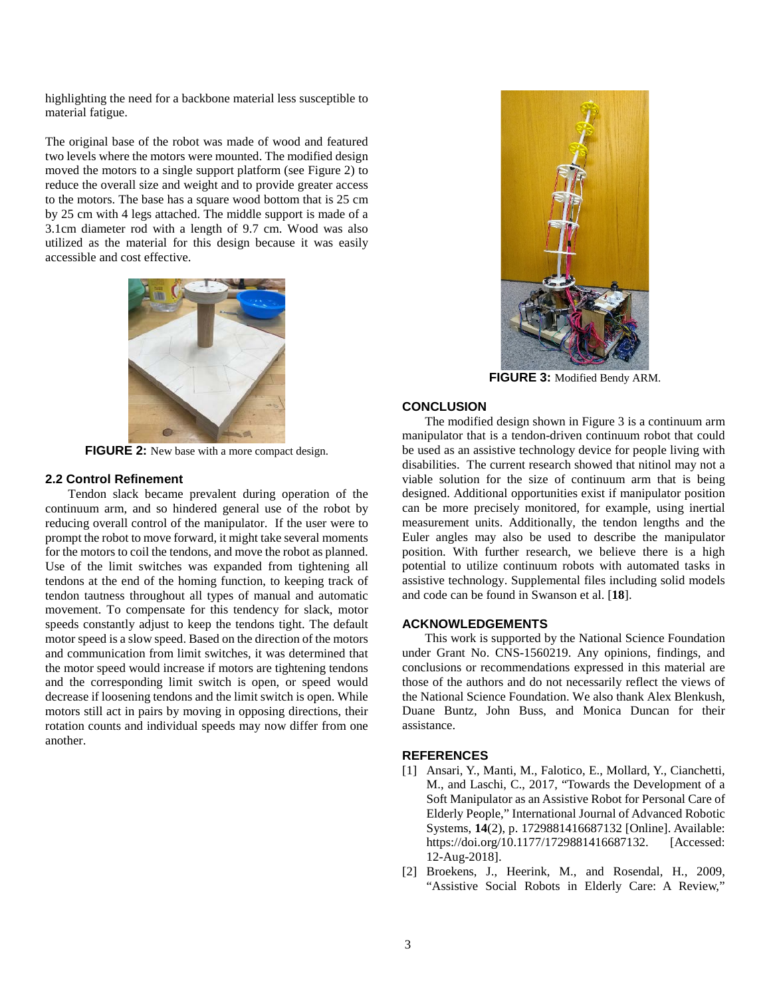highlighting the need for a backbone material less susceptible to material fatigue.

The original base of the robot was made of wood and featured two levels where the motors were mounted. The modified design moved the motors to a single support platform (see Figure 2) to reduce the overall size and weight and to provide greater access to the motors. The base has a square wood bottom that is 25 cm by 25 cm with 4 legs attached. The middle support is made of a 3.1cm diameter rod with a length of 9.7 cm. Wood was also utilized as the material for this design because it was easily accessible and cost effective.



**FIGURE 2:** New base with a more compact design.

#### **2.2 Control Refinement**

Tendon slack became prevalent during operation of the continuum arm, and so hindered general use of the robot by reducing overall control of the manipulator. If the user were to prompt the robot to move forward, it might take several moments for the motors to coil the tendons, and move the robot as planned. Use of the limit switches was expanded from tightening all tendons at the end of the homing function, to keeping track of tendon tautness throughout all types of manual and automatic movement. To compensate for this tendency for slack, motor speeds constantly adjust to keep the tendons tight. The default motor speed is a slow speed. Based on the direction of the motors and communication from limit switches, it was determined that the motor speed would increase if motors are tightening tendons and the corresponding limit switch is open, or speed would decrease if loosening tendons and the limit switch is open. While motors still act in pairs by moving in opposing directions, their rotation counts and individual speeds may now differ from one another.



**FIGURE 3:** Modified Bendy ARM.

### **CONCLUSION**

The modified design shown in Figure 3 is a continuum arm manipulator that is a tendon-driven continuum robot that could be used as an assistive technology device for people living with disabilities. The current research showed that nitinol may not a viable solution for the size of continuum arm that is being designed. Additional opportunities exist if manipulator position can be more precisely monitored, for example, using inertial measurement units. Additionally, the tendon lengths and the Euler angles may also be used to describe the manipulator position. With further research, we believe there is a high potential to utilize continuum robots with automated tasks in assistive technology. Supplemental files including solid models and code can be found in Swanson et al. [**18**].

## **ACKNOWLEDGEMENTS**

This work is supported by the National Science Foundation under Grant No. CNS-1560219. Any opinions, findings, and conclusions or recommendations expressed in this material are those of the authors and do not necessarily reflect the views of the National Science Foundation. We also thank Alex Blenkush, Duane Buntz, John Buss, and Monica Duncan for their assistance.

# **REFERENCES**

- [1] Ansari, Y., Manti, M., Falotico, E., Mollard, Y., Cianchetti, M., and Laschi, C., 2017, "Towards the Development of a Soft Manipulator as an Assistive Robot for Personal Care of Elderly People," International Journal of Advanced Robotic Systems, **14**(2), p. 1729881416687132 [Online]. Available: https://doi.org/10.1177/1729881416687132. [Accessed: 12-Aug-2018].
- [2] Broekens, J., Heerink, M., and Rosendal, H., 2009, "Assistive Social Robots in Elderly Care: A Review,"